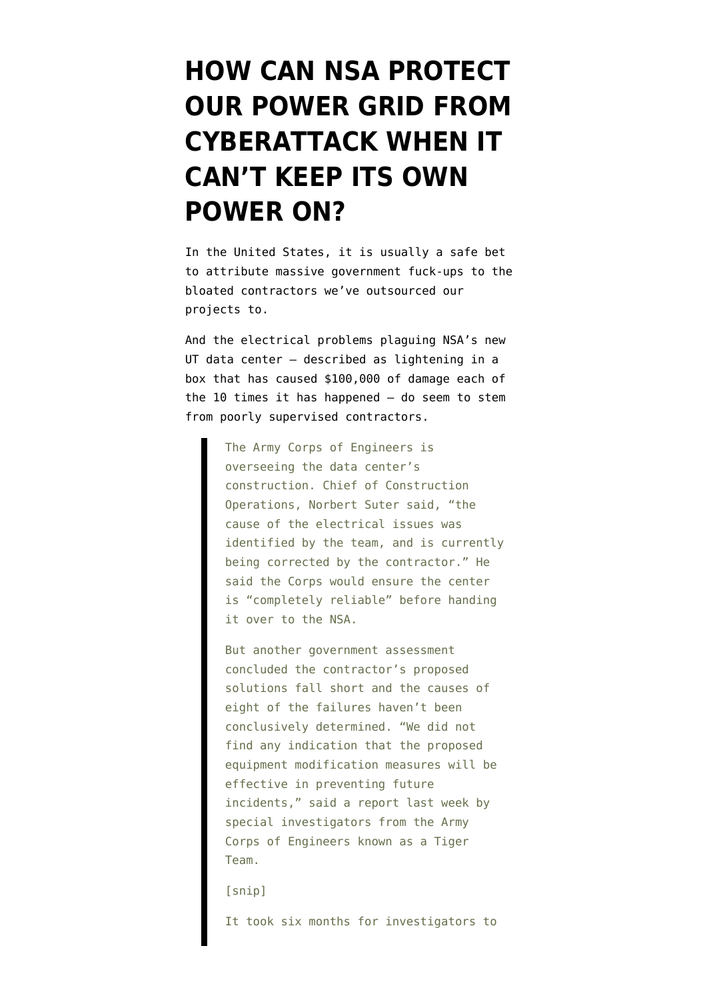## **[HOW CAN NSA PROTECT](https://www.emptywheel.net/2013/10/07/how-can-nsa-protect-our-power-grid-from-cyberattack-when-it-cant-keep-its-own-power-on/) [OUR POWER GRID FROM](https://www.emptywheel.net/2013/10/07/how-can-nsa-protect-our-power-grid-from-cyberattack-when-it-cant-keep-its-own-power-on/) [CYBERATTACK WHEN IT](https://www.emptywheel.net/2013/10/07/how-can-nsa-protect-our-power-grid-from-cyberattack-when-it-cant-keep-its-own-power-on/) [CAN'T KEEP ITS OWN](https://www.emptywheel.net/2013/10/07/how-can-nsa-protect-our-power-grid-from-cyberattack-when-it-cant-keep-its-own-power-on/) [POWER ON?](https://www.emptywheel.net/2013/10/07/how-can-nsa-protect-our-power-grid-from-cyberattack-when-it-cant-keep-its-own-power-on/)**

In the United States, it is usually a safe bet to attribute massive government fuck-ups to the bloated contractors we've outsourced our projects to.

And the [electrical problems](http://online.wsj.com/article/SB10001424052702304441404579119490744478398.html) plaguing NSA's new UT data center — described as lightening in a box that has caused \$100,000 of damage each of the 10 times it has happened — do seem to stem from poorly supervised contractors.

> The Army Corps of Engineers is overseeing the data center's construction. Chief of Construction Operations, Norbert Suter said, "the cause of the electrical issues was identified by the team, and is currently being corrected by the contractor." He said the Corps would ensure the center is "completely reliable" before handing it over to the NSA.

But another government assessment concluded the contractor's proposed solutions fall short and the causes of eight of the failures haven't been conclusively determined. "We did not find any indication that the proposed equipment modification measures will be effective in preventing future incidents," said a report last week by special investigators from the Army Corps of Engineers known as a Tiger Team.

[snip]

It took six months for investigators to